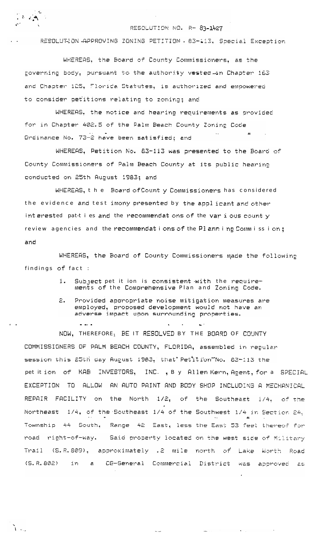

 $\sum_{i=1}^{n}$ 

## RESOLUTION NO. R- 83-1427

RESOLUTION APPROVING ZONING PETITION . 83-413, Special Exception

WHEREAS, the Board of County Commissioners, as the governing body, pursuant to the authority vested in Chapter 163 and Chapter 125, Florida Statutes, is authorized and empowered to consider petitions relating to zoning; and

WHEREAS. the notice and hearing requirements as provided for in Chapter 402.5 of the Palm Beach County Zoning Code Ordinance No. 73-2 have been satisfied; and

WHEREAS, Petition No. 83-113 was presented to the Board of County Commissioners of Palm Beach County at its public hearing conducted on 25th August 1983; and

WHEREAS, the Board of Countly Commissioners has considered the evidence and test imony presented by the applicant and other interested pattles and the recommendations of the various countly review agencies and the recommendations of the Planning Commission; and

WHEREAS, the Board of County Commissioners made the following findings of fact :

- Subject pet it ion is consistent with the require-1. ments of the Comprehensive Plan and Zoning Code.
- $P_{\perp}$ Provided appropriate noise mitigation measures are employed, proposed development would not have an adverse impact upon surrounding properties.

NOW, THEREFORE, BE IT RESOLVED BY THE BOARD OF COUNTY COMMISSIONERS OF PALM BEACH COUNTY, FLORIDA, assembled in regular session this 25th day August 1983, that Petition No. 83-113 the pet it ion of KAB INVESTORS, INC., By Allen Kern, Agent, for a SPECIAL EXCEPTION TO ALLOW AN AUTO PAINT AND BODY SHOP INCLUDING A MECHANICAL REPAIR FACILITY on the North 1/2, of the Southeast 1/4, of the 1/4, of the Southeast 1/4 of the Southwest 1/4 in Section 24, Northeast Township 44 South, Range 42 East, less the East 53 feet thereof for Said property located on the west side of Military road right-of-way. Trail (S.R.809), approximately .2 mile north of Lake Worth Road  $(S, R, 802)$  $im$ CG-General Commercial District ್. ಕ WAS ADDMOVED AS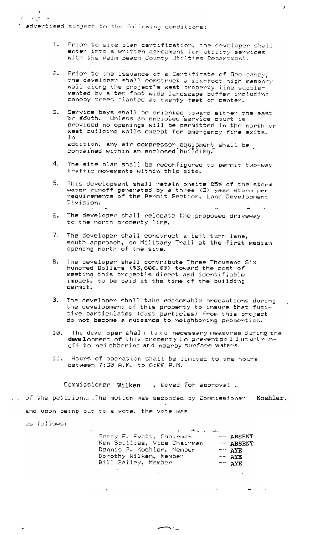adventised subject to the following conditions:

 $\mathcal{F}^{\mathcal{F}}_{\mathcal{F}}$  , where  $\mathcal{F}^{\mathcal{F}}_{\mathcal{F}}$ 

Prior to site plan certification, the developer shall  $1.$ enter into a written agreement for utility services with the Palm Beach County Utilties Department.

 $\lambda$ 

- 은. Prior to the issuance of a Certificate of Occupancy, the developer shall construct a six-foot high masonry wall along the project's west property line supplemented by a ten foot wide landscape buffer including<br>canopy trees planted at twenty feet on center.
- Service bays shall be oriented toward either the east<br>Or south. Unless an enclosed service court is З. provided no openings will be permitted in the north or west building walls except for emergency fire exits. In addition, any air compressor equipment shall be contained within an enclosed building.
- The site plan shall be reconfigured to permit two-way 4. traffic movements within this site.
- $5<sub>1</sub>$ This development shall retain onsite 85% of the storm water runoff generated by a three (3) year storm per<br>requirements of the Permit Section, Land Development Division.  $\mathcal{L}_{\mathcal{A}}$  .  $\mathbf{u}$
- 6. The developer shall relocate the proposed driveway to the north property line.
- $7<sub>1</sub>$ The developer shall construct a left turn lane, south approach, on Military Trail at the first median opening north of the site.
- 8. The developer shall contribute Three Thousand Six Hundred Dollars (\$3,600.00) toward the cost of meeting this project's direct and identifiable impact, to be paid at the time of the building permit.
- 3. The developer shall take reasonable precautions during the development of this property to insure that fugi-<br>tive particulates (dust particles) from this project do not become a nuisance to neighboring properties.
- The devel oper shall take necessary measures during the 10. development of this property to prevent pollutant runoff to nei ohboring arid nearby surface water-s.
- 11. Hours of operation shall be limited to the hours between 7:30 A.M. to 6:00 P.M.

Commissioner Wilken , moved for approval,

.. of the petition. The motion was seconded by Commissioner Koehler, and upon being put to a vote, the vote was

 $\mathcal{L}(\mathcal{L})$  and  $\mathcal{L}(\mathcal{L})$ 

as follows:

| السفيسيان بالأحام           |                   |
|-----------------------------|-------------------|
| Peggy E. Evatt, Chairman    | $--$ ABSENT       |
| Ken Spillias, Vice Chairman | -- ABSENT         |
| Dennis P. Koehler, Member   | $--$ AYE          |
| Dorothy Wilken, Member      | $--$ AYE          |
| Bill Bailey, Member         | $ \overline{AYE}$ |
|                             |                   |

ا بھا

 $\mathcal{L}_{\text{max}}$